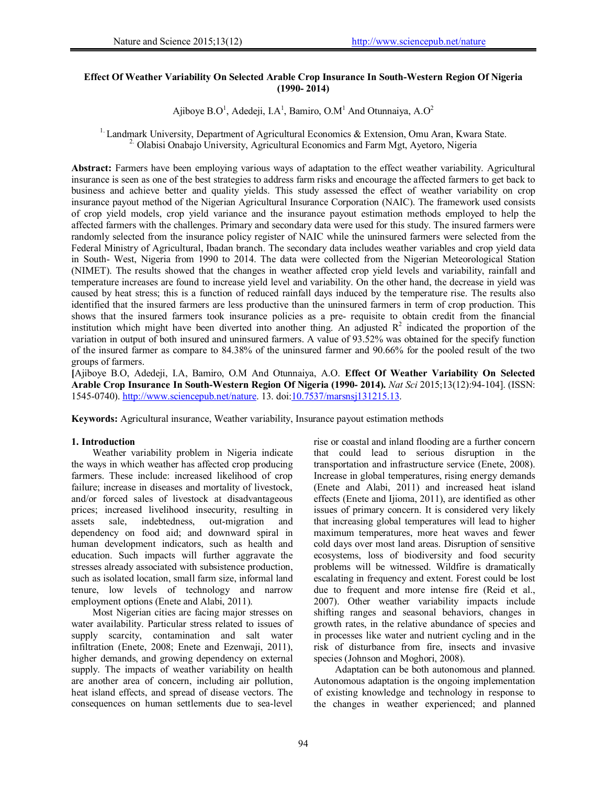### **Effect Of Weather Variability On Selected Arable Crop Insurance In South-Western Region Of Nigeria (1990- 2014)**

Ajiboye B.O<sup>1</sup>, Adedeji, I.A<sup>1</sup>, Bamiro, O.M<sup>1</sup> And Otunnaiya, A.O<sup>2</sup>

<sup>1.</sup> Landmark University, Department of Agricultural Economics & Extension, Omu Aran, Kwara State. <sup>2</sup> Olabisi Onabajo University, Agricultural Economics and Farm Mgt, Ayetoro, Nigeria

**Abstract:** Farmers have been employing various ways of adaptation to the effect weather variability. Agricultural insurance is seen as one of the best strategies to address farm risks and encourage the affected farmers to get back to business and achieve better and quality yields. This study assessed the effect of weather variability on crop insurance payout method of the Nigerian Agricultural Insurance Corporation (NAIC). The framework used consists of crop yield models, crop yield variance and the insurance payout estimation methods employed to help the affected farmers with the challenges. Primary and secondary data were used for this study. The insured farmers were randomly selected from the insurance policy register of NAIC while the uninsured farmers were selected from the Federal Ministry of Agricultural, Ibadan branch. The secondary data includes weather variables and crop yield data in South- West, Nigeria from 1990 to 2014. The data were collected from the Nigerian Meteorological Station (NIMET). The results showed that the changes in weather affected crop yield levels and variability, rainfall and temperature increases are found to increase yield level and variability. On the other hand, the decrease in yield was caused by heat stress; this is a function of reduced rainfall days induced by the temperature rise. The results also identified that the insured farmers are less productive than the uninsured farmers in term of crop production. This shows that the insured farmers took insurance policies as a pre- requisite to obtain credit from the financial institution which might have been diverted into another thing. An adjusted  $R^2$  indicated the proportion of the variation in output of both insured and uninsured farmers. A value of 93.52% was obtained for the specify function of the insured farmer as compare to 84.38% of the uninsured farmer and 90.66% for the pooled result of the two groups of farmers.

**[**Ajiboye B.O, Adedeji, I.A, Bamiro, O.M And Otunnaiya, A.O. **Effect Of Weather Variability On Selected Arable Crop Insurance In South-Western Region Of Nigeria (1990- 2014).** *Nat Sci* 2015;13(12):94-104]. (ISSN: 1545-0740). http://www.sciencepub.net/nature. 13. doi:10.7537/marsnsj131215.13.

**Keywords:** Agricultural insurance, Weather variability, Insurance payout estimation methods

### **1. Introduction**

Weather variability problem in Nigeria indicate the ways in which weather has affected crop producing farmers. These include: increased likelihood of crop failure; increase in diseases and mortality of livestock, and/or forced sales of livestock at disadvantageous prices; increased livelihood insecurity, resulting in assets sale, indebtedness, out-migration and dependency on food aid; and downward spiral in human development indicators, such as health and education. Such impacts will further aggravate the stresses already associated with subsistence production, such as isolated location, small farm size, informal land tenure, low levels of technology and narrow employment options (Enete and Alabi, 2011).

Most Nigerian cities are facing major stresses on water availability. Particular stress related to issues of supply scarcity, contamination and salt water infiltration (Enete, 2008; Enete and Ezenwaji, 2011), higher demands, and growing dependency on external supply. The impacts of weather variability on health are another area of concern, including air pollution, heat island effects, and spread of disease vectors. The consequences on human settlements due to sea-level rise or coastal and inland flooding are a further concern that could lead to serious disruption in the transportation and infrastructure service (Enete, 2008). Increase in global temperatures, rising energy demands (Enete and Alabi, 2011) and increased heat island effects (Enete and Ijioma, 2011), are identified as other issues of primary concern. It is considered very likely that increasing global temperatures will lead to higher maximum temperatures, more heat waves and fewer cold days over most land areas. Disruption of sensitive ecosystems, loss of biodiversity and food security problems will be witnessed. Wildfire is dramatically escalating in frequency and extent. Forest could be lost due to frequent and more intense fire (Reid et al., 2007). Other weather variability impacts include shifting ranges and seasonal behaviors, changes in growth rates, in the relative abundance of species and in processes like water and nutrient cycling and in the risk of disturbance from fire, insects and invasive species (Johnson and Moghori, 2008).

Adaptation can be both autonomous and planned. Autonomous adaptation is the ongoing implementation of existing knowledge and technology in response to the changes in weather experienced; and planned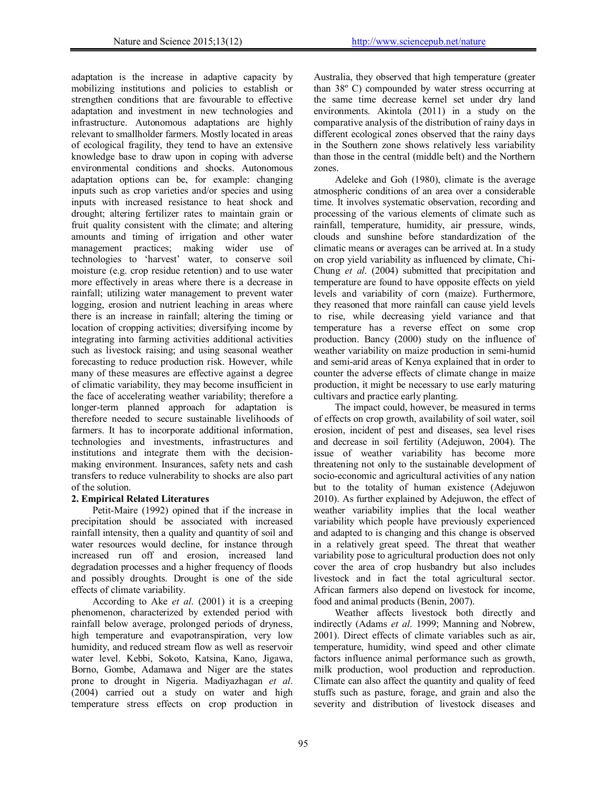adaptation is the increase in adaptive capacity by mobilizing institutions and policies to establish or strengthen conditions that are favourable to effective adaptation and investment in new technologies and infrastructure. Autonomous adaptations are highly relevant to smallholder farmers. Mostly located in areas of ecological fragility, they tend to have an extensive knowledge base to draw upon in coping with adverse environmental conditions and shocks. Autonomous adaptation options can be, for example: changing inputs such as crop varieties and/or species and using inputs with increased resistance to heat shock and drought; altering fertilizer rates to maintain grain or fruit quality consistent with the climate; and altering amounts and timing of irrigation and other water management practices; making wider use of technologies to 'harvest' water, to conserve soil moisture (e.g. crop residue retention) and to use water more effectively in areas where there is a decrease in rainfall; utilizing water management to prevent water logging, erosion and nutrient leaching in areas where there is an increase in rainfall; altering the timing or location of cropping activities; diversifying income by integrating into farming activities additional activities such as livestock raising; and using seasonal weather forecasting to reduce production risk. However, while many of these measures are effective against a degree of climatic variability, they may become insufficient in the face of accelerating weather variability; therefore a longer-term planned approach for adaptation is therefore needed to secure sustainable livelihoods of farmers. It has to incorporate additional information, technologies and investments, infrastructures and institutions and integrate them with the decisionmaking environment. Insurances, safety nets and cash transfers to reduce vulnerability to shocks are also part of the solution.

# **2. Empirical Related Literatures**

Petit-Maire (1992) opined that if the increase in precipitation should be associated with increased rainfall intensity, then a quality and quantity of soil and water resources would decline, for instance through increased run off and erosion, increased land degradation processes and a higher frequency of floods and possibly droughts. Drought is one of the side effects of climate variability.

According to Ake *et al*. (2001) it is a creeping phenomenon, characterized by extended period with rainfall below average, prolonged periods of dryness, high temperature and evapotranspiration, very low humidity, and reduced stream flow as well as reservoir water level. Kebbi, Sokoto, Katsina, Kano, Jigawa, Borno, Gombe, Adamawa and Niger are the states prone to drought in Nigeria. Madiyazhagan *et al*. (2004) carried out a study on water and high temperature stress effects on crop production in Australia, they observed that high temperature (greater than 38º C) compounded by water stress occurring at the same time decrease kernel set under dry land environments. Akintola (2011) in a study on the comparative analysis of the distribution of rainy days in different ecological zones observed that the rainy days in the Southern zone shows relatively less variability than those in the central (middle belt) and the Northern zones.

Adeleke and Goh (1980), climate is the average atmospheric conditions of an area over a considerable time. It involves systematic observation, recording and processing of the various elements of climate such as rainfall, temperature, humidity, air pressure, winds, clouds and sunshine before standardization of the climatic means or averages can be arrived at. In a study on crop yield variability as influenced by climate, Chi-Chung *et al*. (2004) submitted that precipitation and temperature are found to have opposite effects on yield levels and variability of corn (maize). Furthermore, they reasoned that more rainfall can cause yield levels to rise, while decreasing yield variance and that temperature has a reverse effect on some crop production. Bancy (2000) study on the influence of weather variability on maize production in semi-humid and semi-arid areas of Kenya explained that in order to counter the adverse effects of climate change in maize production, it might be necessary to use early maturing cultivars and practice early planting.

The impact could, however, be measured in terms of effects on crop growth, availability of soil water, soil erosion, incident of pest and diseases, sea level rises and decrease in soil fertility (Adejuwon, 2004). The issue of weather variability has become more threatening not only to the sustainable development of socio-economic and agricultural activities of any nation but to the totality of human existence (Adejuwon 2010). As further explained by Adejuwon, the effect of weather variability implies that the local weather variability which people have previously experienced and adapted to is changing and this change is observed in a relatively great speed. The threat that weather variability pose to agricultural production does not only cover the area of crop husbandry but also includes livestock and in fact the total agricultural sector. African farmers also depend on livestock for income, food and animal products (Benin, 2007).

Weather affects livestock both directly and indirectly (Adams *et al*. 1999; Manning and Nobrew, 2001). Direct effects of climate variables such as air, temperature, humidity, wind speed and other climate factors influence animal performance such as growth, milk production, wool production and reproduction. Climate can also affect the quantity and quality of feed stuffs such as pasture, forage, and grain and also the severity and distribution of livestock diseases and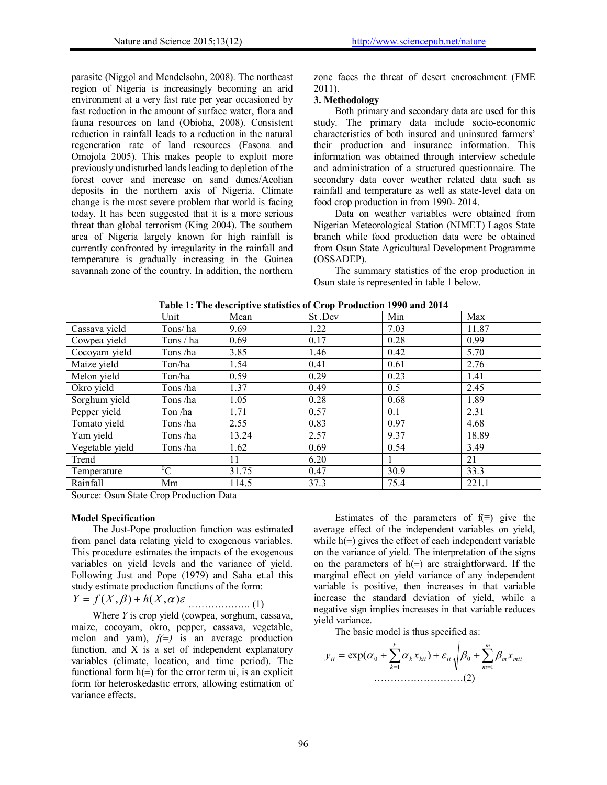parasite (Niggol and Mendelsohn, 2008). The northeast region of Nigeria is increasingly becoming an arid environment at a very fast rate per year occasioned by fast reduction in the amount of surface water, flora and fauna resources on land (Obioha, 2008). Consistent reduction in rainfall leads to a reduction in the natural regeneration rate of land resources (Fasona and Omojola 2005). This makes people to exploit more previously undisturbed lands leading to depletion of the forest cover and increase on sand dunes/Aeolian deposits in the northern axis of Nigeria. Climate change is the most severe problem that world is facing today. It has been suggested that it is a more serious threat than global terrorism (King 2004). The southern area of Nigeria largely known for high rainfall is currently confronted by irregularity in the rainfall and temperature is gradually increasing in the Guinea savannah zone of the country. In addition, the northern zone faces the threat of desert encroachment (FME 2011).

### **3. Methodology**

Both primary and secondary data are used for this study. The primary data include socio-economic characteristics of both insured and uninsured farmers' their production and insurance information. This information was obtained through interview schedule and administration of a structured questionnaire. The secondary data cover weather related data such as rainfall and temperature as well as state-level data on food crop production in from 1990- 2014.

Data on weather variables were obtained from Nigerian Meteorological Station (NIMET) Lagos State branch while food production data were be obtained from Osun State Agricultural Development Programme (OSSADEP).

The summary statistics of the crop production in Osun state is represented in table 1 below.

|                 | Unit             | Mean  | St.Dev | Min  | Max   |
|-----------------|------------------|-------|--------|------|-------|
| Cassava yield   | Tons/ha          | 9.69  | 1.22   | 7.03 | 11.87 |
| Cowpea yield    | Tons / ha        | 0.69  | 0.17   | 0.28 | 0.99  |
| Cocoyam yield   | Tons/ha          | 3.85  | 1.46   | 0.42 | 5.70  |
| Maize yield     | Ton/ha           | 1.54  | 0.41   | 0.61 | 2.76  |
| Melon yield     | Ton/ha           | 0.59  | 0.29   | 0.23 | 1.41  |
| Okro yield      | Tons/ha          | 1.37  | 0.49   | 0.5  | 2.45  |
| Sorghum yield   | Tons/ha          | 1.05  | 0.28   | 0.68 | 1.89  |
| Pepper yield    | Ton /ha          | 1.71  | 0.57   | 0.1  | 2.31  |
| Tomato yield    | Tons/ha          | 2.55  | 0.83   | 0.97 | 4.68  |
| Yam yield       | Tons /ha         | 13.24 | 2.57   | 9.37 | 18.89 |
| Vegetable yield | Tons/ha          | 1.62  | 0.69   | 0.54 | 3.49  |
| Trend           |                  | 11    | 6.20   |      | 21    |
| Temperature     | $\mathrm{^{0}C}$ | 31.75 | 0.47   | 30.9 | 33.3  |
| Rainfall        | Mm               | 114.5 | 37.3   | 75.4 | 221.1 |

**Table 1: The descriptive statistics of Crop Production 1990 and 2014** 

Source: Osun State Crop Production Data

### **Model Specification**

The Just-Pope production function was estimated from panel data relating yield to exogenous variables. This procedure estimates the impacts of the exogenous variables on yield levels and the variance of yield. Following Just and Pope (1979) and Saha et.al this study estimate production functions of the form:

$$
Y = f(X, \beta) + h(X, \alpha)\varepsilon
$$
 (1)

Where *Y* is crop yield (cowpea, sorghum, cassava, maize, cocoyam, okro, pepper, cassava, vegetable, melon and yam), *f(≡)* is an average production function, and X is a set of independent explanatory variables (climate, location, and time period). The functional form  $h(≡)$  for the error term ui, is an explicit form for heteroskedastic errors, allowing estimation of variance effects.

Estimates of the parameters of  $f(\equiv)$  give the average effect of the independent variables on yield, while  $h(≡)$  gives the effect of each independent variable on the variance of yield. The interpretation of the signs on the parameters of  $h(≡)$  are straightforward. If the marginal effect on yield variance of any independent variable is positive, then increases in that variable increase the standard deviation of yield, while a negative sign implies increases in that variable reduces yield variance.

The basic model is thus specified as:

$$
y_{it} = \exp(\alpha_0 + \sum_{k=1}^k \alpha_k x_{kit}) + \varepsilon_{it} \sqrt{\beta_0 + \sum_{m=1}^m \beta_m x_{mit}}
$$
  
.................(2)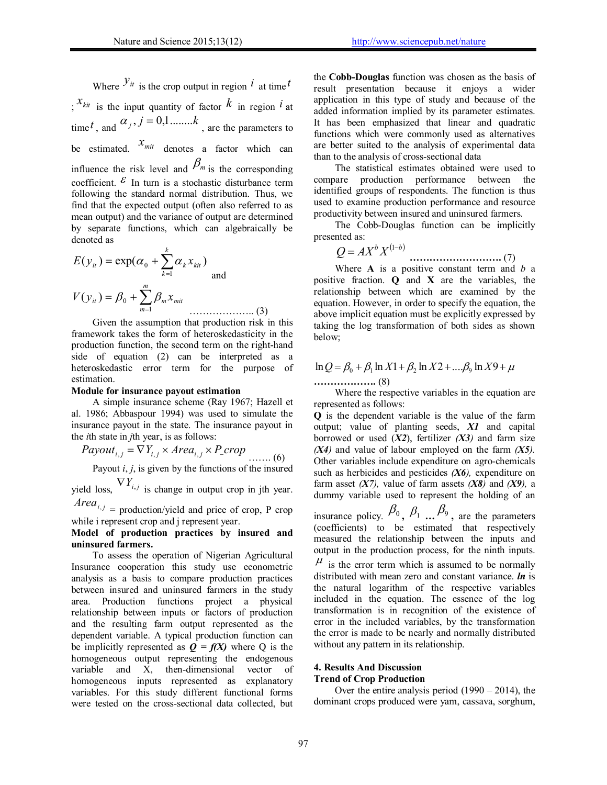Where  $\mathcal{Y}_{it}$  is the crop output in region  $i$  at time  $t$  $\cdot$ <sup>*x*<sub>kit</sub></sup> is the input quantity of factor  $\overline{k}$  in region  $\overline{i}$  at time *t*, and  $\alpha_j$ ,  $j = 0,1, \ldots, k$ , are the parameters to be estimated.  $x_{mit}$  denotes a factor which can influence the risk level and  $\beta_m$  is the corresponding coefficient.  $\epsilon$  In turn is a stochastic disturbance term following the standard normal distribution. Thus, we find that the expected output (often also referred to as mean output) and the variance of output are determined by separate functions, which can algebraically be denoted as

$$
E(y_{it}) = \exp(\alpha_0 + \sum_{k=1}^k \alpha_k x_{kit})
$$
  
and  

$$
V(y_{it}) = \beta_0 + \sum_{m=1}^m \beta_m x_{mit}
$$
 (3)

Given the assumption that production risk in this framework takes the form of heteroskedasticity in the production function, the second term on the right-hand side of equation (2) can be interpreted as a heteroskedastic error term for the purpose of estimation.

#### **Module for insurance payout estimation**

A simple insurance scheme (Ray 1967; Hazell et al. 1986; Abbaspour 1994) was used to simulate the insurance payout in the state. The insurance payout in the *i*th state in *j*th year, is as follows:

*Payout*<sub>*i,j*</sub> = 
$$
\nabla Y_{i,j} \times Area_{i,j} \times P\_crop
$$
 (6)  
Payout *i, j*, is given by the functions of the insured

yield loss,  $\nabla Y_{i,j}$  is change in output crop in jth year.

 $Area_{i,j}$  = production/yield and price of crop, P crop while i represent crop and j represent year.

### **Model of production practices by insured and uninsured farmers.**

To assess the operation of Nigerian Agricultural Insurance cooperation this study use econometric analysis as a basis to compare production practices between insured and uninsured farmers in the study area. Production functions project a physical relationship between inputs or factors of production and the resulting farm output represented as the dependent variable. A typical production function can be implicitly represented as  $Q = f(X)$  where Q is the homogeneous output representing the endogenous variable and X, then-dimensional vector of homogeneous inputs represented as explanatory variables. For this study different functional forms were tested on the cross-sectional data collected, but the **Cobb-Douglas** function was chosen as the basis of result presentation because it enjoys a wider application in this type of study and because of the added information implied by its parameter estimates. It has been emphasized that linear and quadratic functions which were commonly used as alternatives are better suited to the analysis of experimental data than to the analysis of cross-sectional data

The statistical estimates obtained were used to compare production performance between the identified groups of respondents. The function is thus used to examine production performance and resource productivity between insured and uninsured farmers.

The Cobb-Douglas function can be implicitly presented as:

$$
Q = AX^b X^{(1-b)}
$$

 **……………………….** (7) Where **A** is a positive constant term and *b* a positive fraction. **Q** and **X** are the variables, the relationship between which are examined by the equation. However, in order to specify the equation, the above implicit equation must be explicitly expressed by taking the log transformation of both sides as shown below;

# $\ln Q = \beta_0 + \beta_1 \ln X_1 + \beta_2 \ln X_2 + \dots + \beta_9 \ln X_9 + \mu$

**……………….** (8)

Where the respective variables in the equation are represented as follows:

**Q** is the dependent variable is the value of the farm output; value of planting seeds, *X1* and capital borrowed or used  $(X2)$ , fertilizer  $(X3)$  and farm size  $(X4)$  and value of labour employed on the farm  $(X5)$ . Other variables include expenditure on agro-chemicals such as herbicides and pesticides *(X6),* expenditure on farm asset  $(X7)$ , value of farm assets  $(X8)$  and  $(X9)$ , a dummy variable used to represent the holding of an

insurance policy.  $\beta_0$ ,  $\beta_1$  ...  $\beta_9$ , are the parameters (coefficients) to be estimated that respectively measured the relationship between the inputs and output in the production process, for the ninth inputs.  $\mu$  is the error term which is assumed to be normally distributed with mean zero and constant variance. *ln* is the natural logarithm of the respective variables included in the equation. The essence of the log transformation is in recognition of the existence of error in the included variables, by the transformation the error is made to be nearly and normally distributed without any pattern in its relationship.

# **4. Results And Discussion**

# **Trend of Crop Production**

Over the entire analysis period  $(1990 - 2014)$ , the dominant crops produced were yam, cassava, sorghum,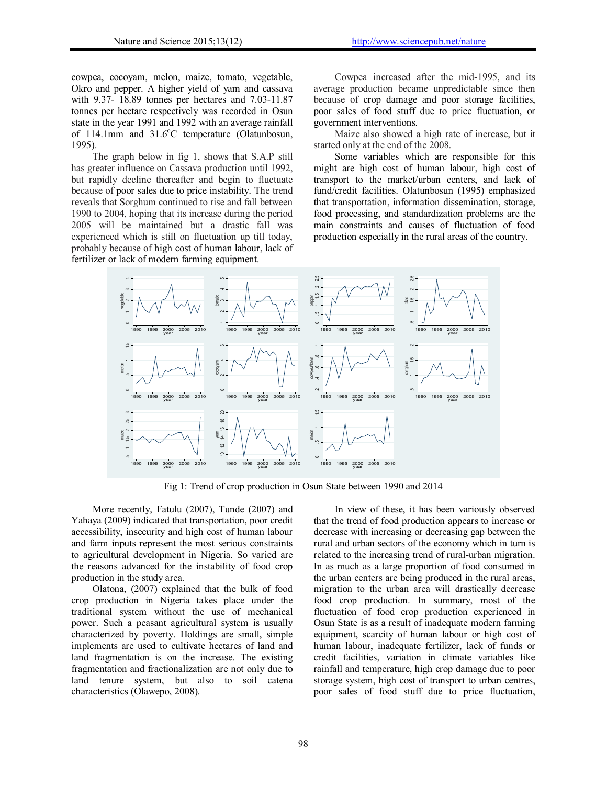cowpea, cocoyam, melon, maize, tomato, vegetable, Okro and pepper. A higher yield of yam and cassava with 9.37- 18.89 tonnes per hectares and 7.03-11.87 tonnes per hectare respectively was recorded in Osun state in the year 1991 and 1992 with an average rainfall of 114.1mm and 31.6°C temperature (Olatunbosun, 1995).

The graph below in fig 1, shows that S.A.P still has greater influence on Cassava production until 1992, but rapidly decline thereafter and begin to fluctuate because of poor sales due to price instability. The trend reveals that Sorghum continued to rise and fall between 1990 to 2004, hoping that its increase during the period 2005 will be maintained but a drastic fall was experienced which is still on fluctuation up till today, probably because of high cost of human labour, lack of fertilizer or lack of modern farming equipment.

Cowpea increased after the mid-1995, and its average production became unpredictable since then because of crop damage and poor storage facilities, poor sales of food stuff due to price fluctuation, or government interventions.

Maize also showed a high rate of increase, but it started only at the end of the 2008.

Some variables which are responsible for this might are high cost of human labour, high cost of transport to the market/urban centers, and lack of fund/credit facilities. Olatunbosun (1995) emphasized that transportation, information dissemination, storage, food processing, and standardization problems are the main constraints and causes of fluctuation of food production especially in the rural areas of the country.



Fig 1: Trend of crop production in Osun State between 1990 and 2014

More recently, Fatulu (2007), Tunde (2007) and Yahaya (2009) indicated that transportation, poor credit accessibility, insecurity and high cost of human labour and farm inputs represent the most serious constraints to agricultural development in Nigeria. So varied are the reasons advanced for the instability of food crop production in the study area.

Olatona, (2007) explained that the bulk of food crop production in Nigeria takes place under the traditional system without the use of mechanical power. Such a peasant agricultural system is usually characterized by poverty. Holdings are small, simple implements are used to cultivate hectares of land and land fragmentation is on the increase. The existing fragmentation and fractionalization are not only due to land tenure system, but also to soil catena characteristics (Olawepo, 2008).

In view of these, it has been variously observed that the trend of food production appears to increase or decrease with increasing or decreasing gap between the rural and urban sectors of the economy which in turn is related to the increasing trend of rural-urban migration. In as much as a large proportion of food consumed in the urban centers are being produced in the rural areas, migration to the urban area will drastically decrease food crop production. In summary, most of the fluctuation of food crop production experienced in Osun State is as a result of inadequate modern farming equipment, scarcity of human labour or high cost of human labour, inadequate fertilizer, lack of funds or credit facilities, variation in climate variables like rainfall and temperature, high crop damage due to poor storage system, high cost of transport to urban centres, poor sales of food stuff due to price fluctuation,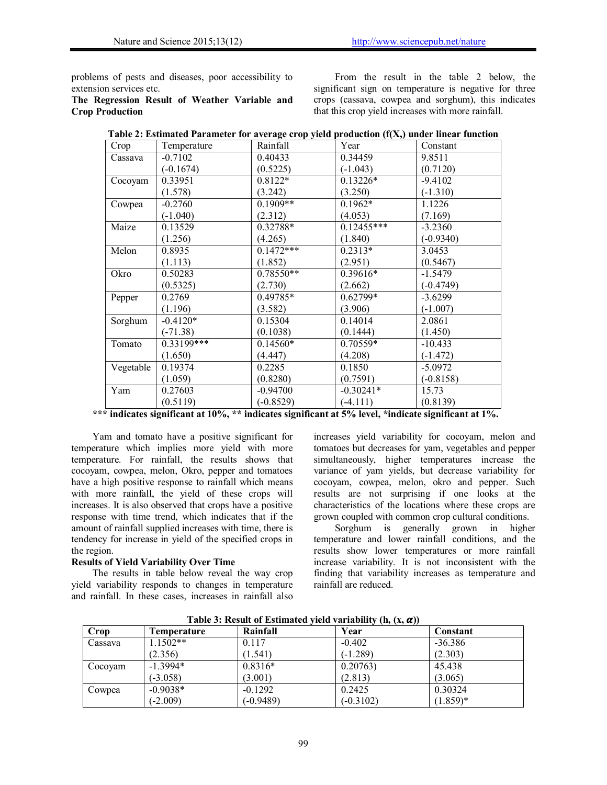problems of pests and diseases, poor accessibility to extension services etc.

**The Regression Result of Weather Variable and Crop Production** 

From the result in the table 2 below, the significant sign on temperature is negative for three crops (cassava, cowpea and sorghum), this indicates that this crop yield increases with more rainfall.

| Crop      | Temperature | Rainfall    | Year         | Constant    |
|-----------|-------------|-------------|--------------|-------------|
| Cassava   | $-0.7102$   | 0.40433     | 0.34459      | 9.8511      |
|           | $(-0.1674)$ | (0.5225)    | $(-1.043)$   | (0.7120)    |
| Cocoyam   | 0.33951     | $0.8122*$   | $0.13226*$   | $-9.4102$   |
|           | (1.578)     | (3.242)     | (3.250)      | $(-1.310)$  |
| Cowpea    | $-0.2760$   | $0.1909**$  | $0.1962*$    | 1.1226      |
|           | $(-1.040)$  | (2.312)     | (4.053)      | (7.169)     |
| Maize     | 0.13529     | 0.32788*    | $0.12455***$ | $-3.2360$   |
|           | (1.256)     | (4.265)     | (1.840)      | $(-0.9340)$ |
| Melon     | 0.8935      | $0.1472***$ | $0.2313*$    | 3.0453      |
|           | (1.113)     | (1.852)     | (2.951)      | (0.5467)    |
| Okro      | 0.50283     | $0.78550**$ | 0.39616*     | $-1.5479$   |
|           | (0.5325)    | (2.730)     | (2.662)      | $(-0.4749)$ |
| Pepper    | 0.2769      | 0.49785*    | $0.62799*$   | $-3.6299$   |
|           | (1.196)     | (3.582)     | (3.906)      | $(-1.007)$  |
| Sorghum   | $-0.4120*$  | 0.15304     | 0.14014      | 2.0861      |
|           | $(-71.38)$  | (0.1038)    | (0.1444)     | (1.450)     |
| Tomato    | 0.33199***  | $0.14560*$  | 0.70559*     | $-10.433$   |
|           | (1.650)     | (4.447)     | (4.208)      | $(-1.472)$  |
| Vegetable | 0.19374     | 0.2285      | 0.1850       | $-5.0972$   |
|           | (1.059)     | (0.8280)    | (0.7591)     | $(-0.8158)$ |
| Yam       | 0.27603     | $-0.94700$  | $-0.30241*$  | 15.73       |
|           | (0.5119)    | $(-0.8529)$ | $(-4.111)$   | (0.8139)    |

| Table 2: Estimated Parameter for average crop yield production (f(X,) under linear function |  |  |
|---------------------------------------------------------------------------------------------|--|--|
|                                                                                             |  |  |

**\*\*\* indicates significant at 10%, \*\* indicates significant at 5% level, \*indicate significant at 1%.** 

Yam and tomato have a positive significant for temperature which implies more yield with more temperature. For rainfall, the results shows that cocoyam, cowpea, melon, Okro, pepper and tomatoes have a high positive response to rainfall which means with more rainfall, the yield of these crops will increases. It is also observed that crops have a positive response with time trend, which indicates that if the amount of rainfall supplied increases with time, there is tendency for increase in yield of the specified crops in the region.

### **Results of Yield Variability Over Time**

The results in table below reveal the way crop yield variability responds to changes in temperature and rainfall. In these cases, increases in rainfall also increases yield variability for cocoyam, melon and tomatoes but decreases for yam, vegetables and pepper simultaneously, higher temperatures increase the variance of yam yields, but decrease variability for cocoyam, cowpea, melon, okro and pepper. Such results are not surprising if one looks at the characteristics of the locations where these crops are grown coupled with common crop cultural conditions.

Sorghum is generally grown in higher temperature and lower rainfall conditions, and the results show lower temperatures or more rainfall increase variability. It is not inconsistent with the finding that variability increases as temperature and rainfall are reduced.

|         | Twore or recourt of Elemented Tiera variability (iii) $(x)$ w/ |             |             |            |  |  |  |  |  |
|---------|----------------------------------------------------------------|-------------|-------------|------------|--|--|--|--|--|
| Crop    | Temperature                                                    | Rainfall    | Year        | Constant   |  |  |  |  |  |
| Cassava | $1.1502**$                                                     | 0.117       | $-0.402$    | $-36.386$  |  |  |  |  |  |
|         | (2.356)                                                        | (1.541)     | $(-1.289)$  | (2.303)    |  |  |  |  |  |
| Cocovam | $-1.3994*$                                                     | $0.8316*$   | 0.20763)    | 45.438     |  |  |  |  |  |
|         | $(-3.058)$                                                     | (3.001)     | (2.813)     | (3.065)    |  |  |  |  |  |
| Cowpea  | $-0.9038*$                                                     | $-0.1292$   | 0.2425      | 0.30324    |  |  |  |  |  |
|         | $(-2.009)$                                                     | $(-0.9489)$ | $(-0.3102)$ | $(1.859)*$ |  |  |  |  |  |

**Table 3: Result of Estimated yield variability (h, (x, ))**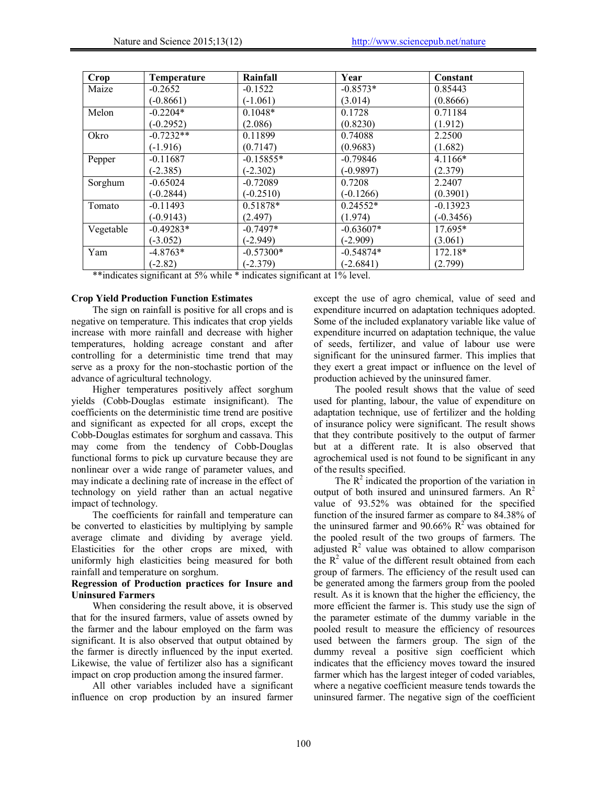| <b>Crop</b> | Temperature | Rainfall    | Year        | Constant    |
|-------------|-------------|-------------|-------------|-------------|
| Maize       | $-0.2652$   | $-0.1522$   | $-0.8573*$  | 0.85443     |
|             | $(-0.8661)$ | $(-1.061)$  | (3.014)     | (0.8666)    |
| Melon       | $-0.2204*$  | $0.1048*$   | 0.1728      | 0.71184     |
|             | $(-0.2952)$ | (2.086)     | (0.8230)    | (1.912)     |
| Okro        | $-0.7232**$ | 0.11899     | 0.74088     | 2.2500      |
|             | $(-1.916)$  | (0.7147)    | (0.9683)    | (1.682)     |
| Pepper      | $-0.11687$  | $-0.15855*$ | $-0.79846$  | $4.1166*$   |
|             | $(-2.385)$  | $(-2.302)$  | $(-0.9897)$ | (2.379)     |
| Sorghum     | $-0.65024$  | $-0.72089$  | 0.7208      | 2.2407      |
|             | $(-0.2844)$ | $(-0.2510)$ | $(-0.1266)$ | (0.3901)    |
| Tomato      | $-0.11493$  | 0.51878*    | $0.24552*$  | $-0.13923$  |
|             | $(-0.9143)$ | (2.497)     | (1.974)     | $(-0.3456)$ |
| Vegetable   | $-0.49283*$ | $-0.7497*$  | $-0.63607*$ | $17.695*$   |
|             | $(-3.052)$  | $(-2.949)$  | $(-2.909)$  | (3.061)     |
| Yam         | $-4.8763*$  | $-0.57300*$ | $-0.54874*$ | 172.18*     |
|             | $(-2.82)$   | $(-2.379)$  | $(-2.6841)$ | (2.799)     |

\*\*indicates significant at 5% while \* indicates significant at 1% level.

#### **Crop Yield Production Function Estimates**

The sign on rainfall is positive for all crops and is negative on temperature. This indicates that crop yields increase with more rainfall and decrease with higher temperatures, holding acreage constant and after controlling for a deterministic time trend that may serve as a proxy for the non-stochastic portion of the advance of agricultural technology.

Higher temperatures positively affect sorghum yields (Cobb-Douglas estimate insignificant). The coefficients on the deterministic time trend are positive and significant as expected for all crops, except the Cobb-Douglas estimates for sorghum and cassava. This may come from the tendency of Cobb-Douglas functional forms to pick up curvature because they are nonlinear over a wide range of parameter values, and may indicate a declining rate of increase in the effect of technology on yield rather than an actual negative impact of technology.

The coefficients for rainfall and temperature can be converted to elasticities by multiplying by sample average climate and dividing by average yield. Elasticities for the other crops are mixed, with uniformly high elasticities being measured for both rainfall and temperature on sorghum.

### **Regression of Production practices for Insure and Uninsured Farmers**

When considering the result above, it is observed that for the insured farmers, value of assets owned by the farmer and the labour employed on the farm was significant. It is also observed that output obtained by the farmer is directly influenced by the input exerted. Likewise, the value of fertilizer also has a significant impact on crop production among the insured farmer.

All other variables included have a significant influence on crop production by an insured farmer

except the use of agro chemical, value of seed and expenditure incurred on adaptation techniques adopted. Some of the included explanatory variable like value of expenditure incurred on adaptation technique, the value of seeds, fertilizer, and value of labour use were significant for the uninsured farmer. This implies that they exert a great impact or influence on the level of production achieved by the uninsured famer.

The pooled result shows that the value of seed used for planting, labour, the value of expenditure on adaptation technique, use of fertilizer and the holding of insurance policy were significant. The result shows that they contribute positively to the output of farmer but at a different rate. It is also observed that agrochemical used is not found to be significant in any of the results specified.

The  $R^2$  indicated the proportion of the variation in output of both insured and uninsured farmers. An  $\mathbb{R}^2$ value of 93.52% was obtained for the specified function of the insured farmer as compare to 84.38% of the uninsured farmer and 90.66%  $R^2$  was obtained for the pooled result of the two groups of farmers. The adjusted  $R^2$  value was obtained to allow comparison the  $R<sup>2</sup>$  value of the different result obtained from each group of farmers. The efficiency of the result used can be generated among the farmers group from the pooled result. As it is known that the higher the efficiency, the more efficient the farmer is. This study use the sign of the parameter estimate of the dummy variable in the pooled result to measure the efficiency of resources used between the farmers group. The sign of the dummy reveal a positive sign coefficient which indicates that the efficiency moves toward the insured farmer which has the largest integer of coded variables, where a negative coefficient measure tends towards the uninsured farmer. The negative sign of the coefficient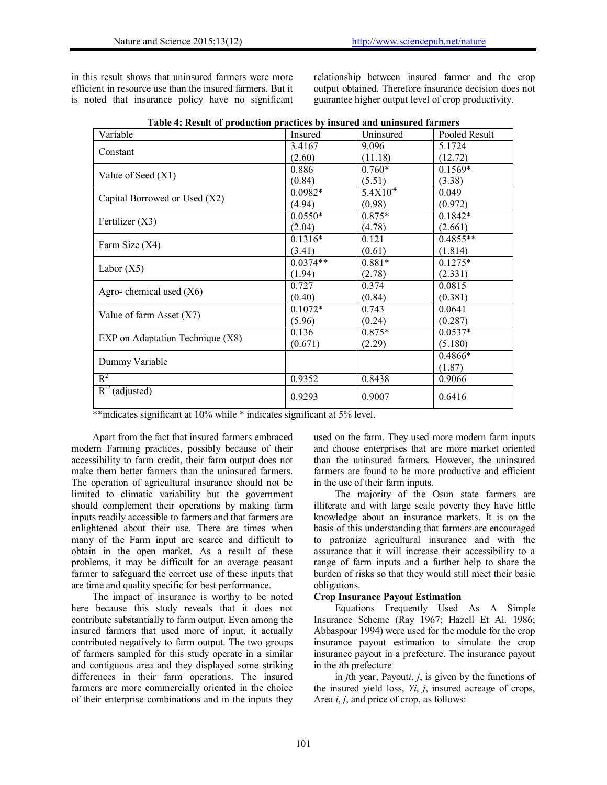in this result shows that uninsured farmers were more efficient in resource use than the insured farmers. But it is noted that insurance policy have no significant relationship between insured farmer and the crop output obtained. Therefore insurance decision does not guarantee higher output level of crop productivity.

| Variable                         | Insured    | Uninsured    | Pooled Result |
|----------------------------------|------------|--------------|---------------|
|                                  | 3.4167     | 9.096        | 5.1724        |
| Constant                         | (2.60)     | (11.18)      | (12.72)       |
|                                  | 0.886      | $0.760*$     | $0.1569*$     |
| Value of Seed $(X1)$             | (0.84)     | (5.51)       | (3.38)        |
|                                  | $0.0982*$  | $5.4X10^{4}$ | 0.049         |
| Capital Borrowed or Used (X2)    | (4.94)     | (0.98)       | (0.972)       |
|                                  | $0.0550*$  | $0.875*$     | $0.1842*$     |
| Fertilizer $(X3)$                | (2.04)     | (4.78)       | (2.661)       |
|                                  | $0.1316*$  | 0.121        | $0.4855**$    |
| Farm Size (X4)                   | (3.41)     | (0.61)       | (1.814)       |
|                                  | $0.0374**$ | $0.881*$     | $0.1275*$     |
| Labor $(X5)$                     | (1.94)     | (2.78)       | (2.331)       |
|                                  | 0.727      | 0.374        | 0.0815        |
| Agro-chemical used $(X6)$        | (0.40)     | (0.84)       | (0.381)       |
|                                  | $0.1072*$  | 0.743        | 0.0641        |
| Value of farm Asset $(X7)$       | (5.96)     | (0.24)       | (0.287)       |
|                                  | 0.136      | $0.875*$     | $0.0537*$     |
| EXP on Adaptation Technique (X8) | (0.671)    | (2.29)       | (5.180)       |
|                                  |            |              | $0.4866*$     |
| Dummy Variable                   |            |              | (1.87)        |
| $R^2$                            | 0.9352     | 0.8438       | 0.9066        |
| $R^{-2}$ (adjusted)              | 0.9293     | 0.9007       | 0.6416        |

|  |  |  |  | Table 4: Result of production practices by insured and uninsured farmers |
|--|--|--|--|--------------------------------------------------------------------------|
|--|--|--|--|--------------------------------------------------------------------------|

\*\*indicates significant at 10% while \* indicates significant at 5% level.

Apart from the fact that insured farmers embraced modern Farming practices, possibly because of their accessibility to farm credit, their farm output does not make them better farmers than the uninsured farmers. The operation of agricultural insurance should not be limited to climatic variability but the government should complement their operations by making farm inputs readily accessible to farmers and that farmers are enlightened about their use. There are times when many of the Farm input are scarce and difficult to obtain in the open market. As a result of these problems, it may be difficult for an average peasant farmer to safeguard the correct use of these inputs that are time and quality specific for best performance.

The impact of insurance is worthy to be noted here because this study reveals that it does not contribute substantially to farm output. Even among the insured farmers that used more of input, it actually contributed negatively to farm output. The two groups of farmers sampled for this study operate in a similar and contiguous area and they displayed some striking differences in their farm operations. The insured farmers are more commercially oriented in the choice of their enterprise combinations and in the inputs they used on the farm. They used more modern farm inputs and choose enterprises that are more market oriented than the uninsured farmers. However, the uninsured farmers are found to be more productive and efficient in the use of their farm inputs.

The majority of the Osun state farmers are illiterate and with large scale poverty they have little knowledge about an insurance markets. It is on the basis of this understanding that farmers are encouraged to patronize agricultural insurance and with the assurance that it will increase their accessibility to a range of farm inputs and a further help to share the burden of risks so that they would still meet their basic obligations.

#### **Crop Insurance Payout Estimation**

Equations Frequently Used As A Simple Insurance Scheme (Ray 1967; Hazell Et Al. 1986; Abbaspour 1994) were used for the module for the crop insurance payout estimation to simulate the crop insurance payout in a prefecture. The insurance payout in the *i*th prefecture

in *j*th year, Payout*i*, *j*, is given by the functions of the insured yield loss, *Yi*, *j*, insured acreage of crops, Area *i*, *j*, and price of crop, as follows: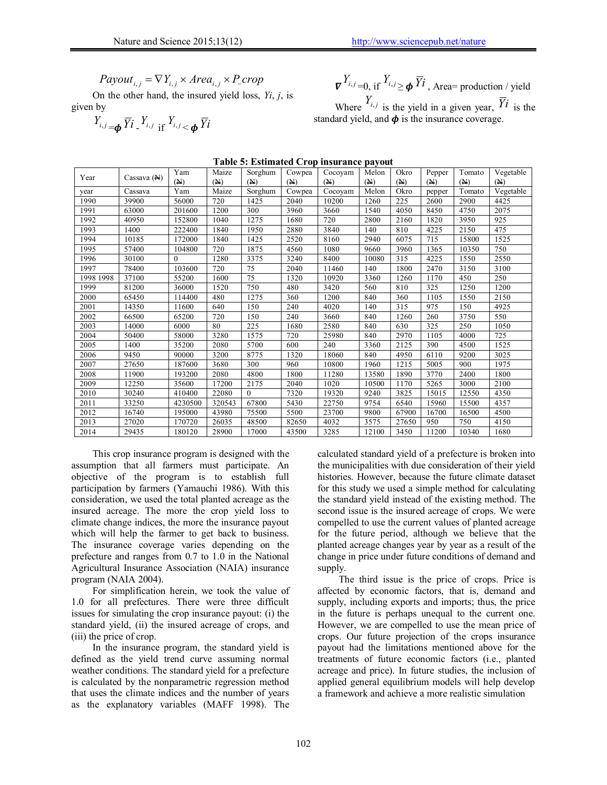$$
Payout_{i,j} = \nabla Y_{i,j} \times Area_{i,j} \times P\_crop
$$

On the other hand, the insured yield loss, *Yi*, *j*, is given by

$$
Y_{i,j} = \boldsymbol{\phi} \, \overline{Y} \boldsymbol{i} \, \, \frac{Y_{i,j}}{\| \mathbf{f} \, \, \mathbf{f} \, \mathbf{f}_{i,j} < \boldsymbol{\phi} \, \overline{Y} \boldsymbol{i}
$$

$$
\nabla^{Y_{i,j}}=0
$$
, if  $Y_{i,j} \ge \phi \overline{Y}i$ , Area= production / yield  
Where  $Y_{i,j}$  is the yield in a given year,  $\overline{Y}i$  is the  
standard yield, and  $\phi$  is the insurance coverage.

| l able 5: estimated Crop insurance payout |             |          |        |          |        |         |       |       |        |        |           |
|-------------------------------------------|-------------|----------|--------|----------|--------|---------|-------|-------|--------|--------|-----------|
| Year                                      | Cassava (N) | Yam      | Maize  | Sorghum  | Cowpea | Cocoyam | Melon | Okro  | Pepper | Tomato | Vegetable |
|                                           |             | (M)      | (M)    | (M)      | (M)    | (M)     | (M)   | (M)   | (M)    | (M)    | (M)       |
| year                                      | Cassava     | Yam      | Maize  | Sorghum  | Cowpea | Cocoyam | Melon | Okro  | pepper | Tomato | Vegetable |
| 1990                                      | 39900       | 56000    | 720    | 1425     | 2040   | 10200   | 1260  | 225   | 2600   | 2900   | 4425      |
| 1991                                      | 63000       | 201600   | 1200   | 300      | 3960   | 3660    | 1540  | 4050  | 8450   | 4750   | 2075      |
| 1992                                      | 40950       | 152800   | 1040   | 1275     | 1680   | 720     | 2800  | 2160  | 1820   | 3950   | 925       |
| 1993                                      | 1400        | 222400   | 1840   | 1950     | 2880   | 3840    | 140   | 810   | 4225   | 2150   | 475       |
| 1994                                      | 10185       | 172000   | 1840   | 1425     | 2520   | 8160    | 2940  | 6075  | 715    | 15800  | 1525      |
| 1995                                      | 57400       | 104800   | 720    | 1875     | 4560   | 1080    | 9660  | 3960  | 1365   | 10350  | 750       |
| 1996                                      | 30100       | $\Omega$ | 1280   | 3375     | 3240   | 8400    | 10080 | 315   | 4225   | 1550   | 2550      |
| 1997                                      | 78400       | 103600   | 720    | 75       | 2040   | 11460   | 140   | 1800  | 2470   | 3150   | 3100      |
| 1998 1998                                 | 37100       | 55200    | 1600   | 75       | 1320   | 10920   | 3360  | 1260  | 1170   | 450    | 250       |
| 1999                                      | 81200       | 36000    | 1520   | 750      | 480    | 3420    | 560   | 810   | 325    | 1250   | 1200      |
| 2000                                      | 65450       | 114400   | 480    | 1275     | 360    | 1200    | 840   | 360   | 1105   | 1550   | 2150      |
| 2001                                      | 14350       | 11600    | 640    | 150      | 240    | 4020    | 140   | 315   | 975    | 150    | 4925      |
| 2002                                      | 66500       | 65200    | 720    | 150      | 240    | 3660    | 840   | 1260  | 260    | 3750   | 550       |
| 2003                                      | 14000       | 6000     | 80     | 225      | 1680   | 2580    | 840   | 630   | 325    | 250    | 1050      |
| 2004                                      | 50400       | 58000    | 3280   | 1575     | 720    | 25980   | 840   | 2970  | 1105   | 4000   | 725       |
| 2005                                      | 1400        | 35200    | 2080   | 5700     | 600    | 240     | 3360  | 2125  | 390    | 4500   | 1525      |
| 2006                                      | 9450        | 90000    | 3200   | 8775     | 1320   | 18060   | 840   | 4950  | 6110   | 9200   | 3025      |
| 2007                                      | 27650       | 187600   | 3680   | 300      | 960    | 10800   | 1960  | 1215  | 5005   | 900    | 1975      |
| 2008                                      | 11900       | 193200   | 2080   | 4800     | 1800   | 11280   | 13580 | 1890  | 3770   | 2400   | 1800      |
| 2009                                      | 12250       | 35600    | 17200  | 2175     | 2040   | 1020    | 10500 | 1170  | 5265   | 3000   | 2100      |
| 2010                                      | 30240       | 410400   | 22080  | $\theta$ | 7320   | 19320   | 9240  | 3825  | 15015  | 12550  | 4350      |
| 2011                                      | 33250       | 4230500  | 320543 | 67800    | 5430   | 22750   | 9754  | 6540  | 15960  | 15500  | 4357      |
| 2012                                      | 16740       | 195000   | 43980  | 75500    | 5500   | 23700   | 9800  | 67900 | 16700  | 16500  | 4500      |
| 2013                                      | 27020       | 170720   | 26035  | 48500    | 82650  | 4032    | 3575  | 27650 | 950    | 750    | 4150      |
| 2014                                      | 29435       | 180120   | 28900  | 17000    | 43500  | 3285    | 12100 | 3450  | 11200  | 10340  | 1680      |

**Table 5: Estimated Crop insurance payout**

This crop insurance program is designed with the assumption that all farmers must participate. An objective of the program is to establish full participation by farmers (Yamauchi 1986). With this consideration, we used the total planted acreage as the insured acreage. The more the crop yield loss to climate change indices, the more the insurance payout which will help the farmer to get back to business. The insurance coverage varies depending on the prefecture and ranges from 0.7 to 1.0 in the National Agricultural Insurance Association (NAIA) insurance program (NAIA 2004).

For simplification herein, we took the value of 1.0 for all prefectures. There were three difficult issues for simulating the crop insurance payout: (i) the standard yield, (ii) the insured acreage of crops, and (iii) the price of crop.

In the insurance program, the standard yield is defined as the yield trend curve assuming normal weather conditions. The standard yield for a prefecture is calculated by the nonparametric regression method that uses the climate indices and the number of years as the explanatory variables (MAFF 1998). The calculated standard yield of a prefecture is broken into the municipalities with due consideration of their yield histories. However, because the future climate dataset for this study we used a simple method for calculating the standard yield instead of the existing method. The second issue is the insured acreage of crops. We were compelled to use the current values of planted acreage for the future period, although we believe that the planted acreage changes year by year as a result of the change in price under future conditions of demand and supply.

The third issue is the price of crops. Price is affected by economic factors, that is, demand and supply, including exports and imports; thus, the price in the future is perhaps unequal to the current one. However, we are compelled to use the mean price of crops. Our future projection of the crops insurance payout had the limitations mentioned above for the treatments of future economic factors (i.e., planted acreage and price). In future studies, the inclusion of applied general equilibrium models will help develop a framework and achieve a more realistic simulation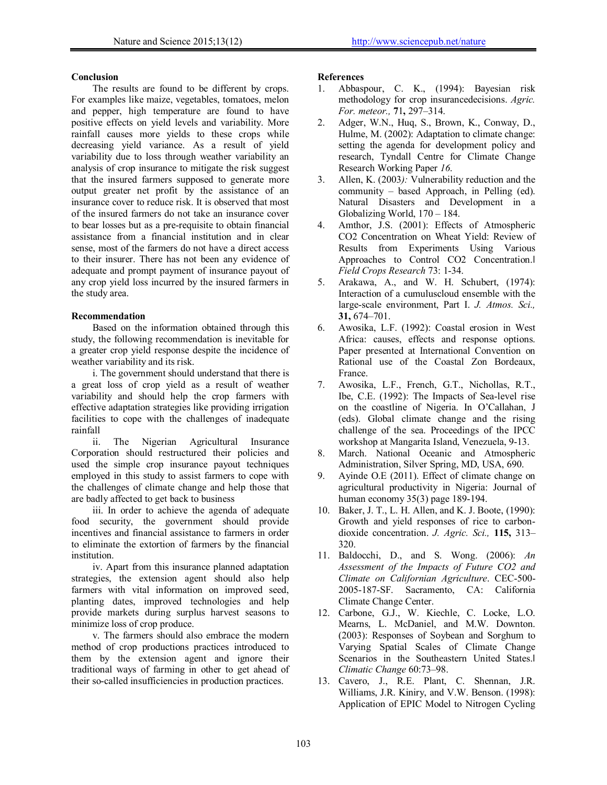### **Conclusion**

The results are found to be different by crops. For examples like maize, vegetables, tomatoes, melon and pepper, high temperature are found to have positive effects on yield levels and variability. More rainfall causes more yields to these crops while decreasing yield variance. As a result of yield variability due to loss through weather variability an analysis of crop insurance to mitigate the risk suggest that the insured farmers supposed to generate more output greater net profit by the assistance of an insurance cover to reduce risk. It is observed that most of the insured farmers do not take an insurance cover to bear losses but as a pre-requisite to obtain financial assistance from a financial institution and in clear sense, most of the farmers do not have a direct access to their insurer. There has not been any evidence of adequate and prompt payment of insurance payout of any crop yield loss incurred by the insured farmers in the study area.

## **Recommendation**

Based on the information obtained through this study, the following recommendation is inevitable for a greater crop yield response despite the incidence of weather variability and its risk.

i. The government should understand that there is a great loss of crop yield as a result of weather variability and should help the crop farmers with effective adaptation strategies like providing irrigation facilities to cope with the challenges of inadequate rainfall

ii. The Nigerian Agricultural Insurance Corporation should restructured their policies and used the simple crop insurance payout techniques employed in this study to assist farmers to cope with the challenges of climate change and help those that are badly affected to get back to business

iii. In order to achieve the agenda of adequate food security, the government should provide incentives and financial assistance to farmers in order to eliminate the extortion of farmers by the financial institution.

iv. Apart from this insurance planned adaptation strategies, the extension agent should also help farmers with vital information on improved seed, planting dates, improved technologies and help provide markets during surplus harvest seasons to minimize loss of crop produce.

v. The farmers should also embrace the modern method of crop productions practices introduced to them by the extension agent and ignore their traditional ways of farming in other to get ahead of their so-called insufficiencies in production practices.

## **References**

- 1. Abbaspour, C. K., (1994): Bayesian risk methodology for crop insurancedecisions. *Agric. For. meteor.,* **7**1**,** 297–314.
- 2. Adger, W.N., Huq, S., Brown, K., Conway, D., Hulme, M. (2002): Adaptation to climate change: setting the agenda for development policy and research, Tyndall Centre for Climate Change Research Working Paper *16*.
- 3. Allen, K. (2003*):* Vulnerability reduction and the community – based Approach, in Pelling (ed). Natural Disasters and Development in a Globalizing World, 170 – 184.
- 4. Amthor, J.S. (2001): Effects of Atmospheric CO2 Concentration on Wheat Yield: Review of Results from Experiments Using Various Approaches to Control CO2 Concentration. *Field Crops Research* 73: 1-34.
- 5. Arakawa, A., and W. H. Schubert, (1974): Interaction of a cumuluscloud ensemble with the large-scale environment, Part I. *J. Atmos. Sci.,*  **31,** 674–701.
- 6. Awosika, L.F. (1992): Coastal erosion in West Africa: causes, effects and response options. Paper presented at International Convention on Rational use of the Coastal Zon Bordeaux, France.
- 7. Awosika, L.F., French, G.T., Nichollas, R.T., Ibe, C.E. (1992): The Impacts of Sea-level rise on the coastline of Nigeria. In O'Callahan, J (eds). Global climate change and the rising challenge of the sea. Proceedings of the IPCC workshop at Mangarita Island, Venezuela, 9-13.
- 8. March. National Oceanic and Atmospheric Administration, Silver Spring, MD, USA, 690.
- 9. Ayinde O.E (2011). Effect of climate change on agricultural productivity in Nigeria: Journal of human economy 35(3) page 189-194.
- 10. Baker, J. T., L. H. Allen, and K. J. Boote, (1990): Growth and yield responses of rice to carbondioxide concentration. *J. Agric. Sci.,* **115,** 313– 320.
- 11. Baldocchi, D., and S. Wong. (2006): *An Assessment of the Impacts of Future CO2 and Climate on Californian Agriculture*. CEC-500- 2005-187-SF. Sacramento, CA: California Climate Change Center.
- 12. Carbone, G.J., W. Kiechle, C. Locke, L.O. Mearns, L. McDaniel, and M.W. Downton. (2003): Responses of Soybean and Sorghum to Varying Spatial Scales of Climate Change Scenarios in the Southeastern United States.‖ *Climatic Change* 60:73–98.
- 13. Cavero, J., R.E. Plant, C. Shennan, J.R. Williams, J.R. Kiniry, and V.W. Benson. (1998): Application of EPIC Model to Nitrogen Cycling